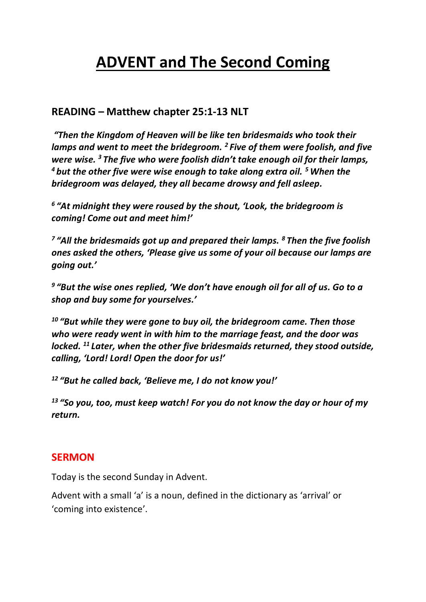# **ADVENT and The Second Coming**

### **READING – Matthew chapter 25:1-13 NLT**

*"Then the Kingdom of Heaven will be like ten bridesmaids who took their lamps and went to meet the bridegroom. <sup>2</sup> Five of them were foolish, and five were wise. <sup>3</sup> The five who were foolish didn't take enough oil for their lamps, <sup>4</sup> but the other five were wise enough to take along extra oil. <sup>5</sup>When the bridegroom was delayed, they all became drowsy and fell asleep.*

*6 "At midnight they were roused by the shout, 'Look, the bridegroom is coming! Come out and meet him!'*

*7 "All the bridesmaids got up and prepared their lamps. <sup>8</sup> Then the five foolish ones asked the others, 'Please give us some of your oil because our lamps are going out.'*

*9 "But the wise ones replied, 'We don't have enough oil for all of us. Go to a shop and buy some for yourselves.'*

*<sup>10</sup> "But while they were gone to buy oil, the bridegroom came. Then those who were ready went in with him to the marriage feast, and the door was locked. <sup>11</sup> Later, when the other five bridesmaids returned, they stood outside, calling, 'Lord! Lord! Open the door for us!'*

*<sup>12</sup> "But he called back, 'Believe me, I do not know you!'*

*<sup>13</sup> "So you, too, must keep watch! For you do not know the day or hour of my return.*

#### **SERMON**

Today is the second Sunday in Advent.

Advent with a small 'a' is a noun, defined in the dictionary as 'arrival' or 'coming into existence'.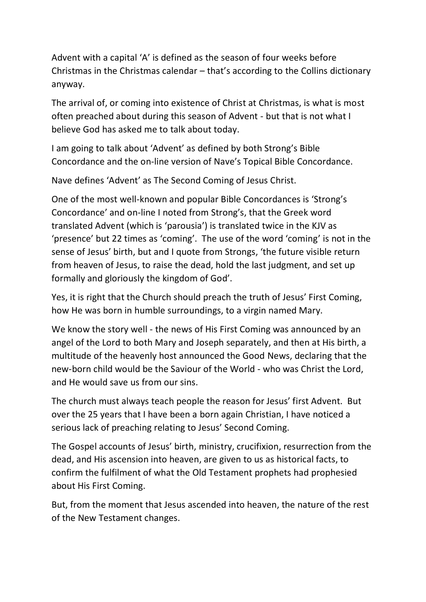Advent with a capital 'A' is defined as the season of four weeks before Christmas in the Christmas calendar – that's according to the Collins dictionary anyway.

The arrival of, or coming into existence of Christ at Christmas, is what is most often preached about during this season of Advent - but that is not what I believe God has asked me to talk about today.

I am going to talk about 'Advent' as defined by both Strong's Bible Concordance and the on-line version of Nave's Topical Bible Concordance.

Nave defines 'Advent' as The Second Coming of Jesus Christ.

One of the most well-known and popular Bible Concordances is 'Strong's Concordance' and on-line I noted from Strong's, that the Greek word translated Advent (which is 'parousia') is translated twice in the KJV as 'presence' but 22 times as 'coming'. The use of the word 'coming' is not in the sense of Jesus' birth, but and I quote from Strongs, 'the future visible return from heaven of Jesus, to raise the dead, hold the last judgment, and set up formally and gloriously the kingdom of God'.

Yes, it is right that the Church should preach the truth of Jesus' First Coming, how He was born in humble surroundings, to a virgin named Mary.

We know the story well - the news of His First Coming was announced by an angel of the Lord to both Mary and Joseph separately, and then at His birth, a multitude of the heavenly host announced the Good News, declaring that the new-born child would be the Saviour of the World - who was Christ the Lord, and He would save us from our sins.

The church must always teach people the reason for Jesus' first Advent. But over the 25 years that I have been a born again Christian, I have noticed a serious lack of preaching relating to Jesus' Second Coming.

The Gospel accounts of Jesus' birth, ministry, crucifixion, resurrection from the dead, and His ascension into heaven, are given to us as historical facts, to confirm the fulfilment of what the Old Testament prophets had prophesied about His First Coming.

But, from the moment that Jesus ascended into heaven, the nature of the rest of the New Testament changes.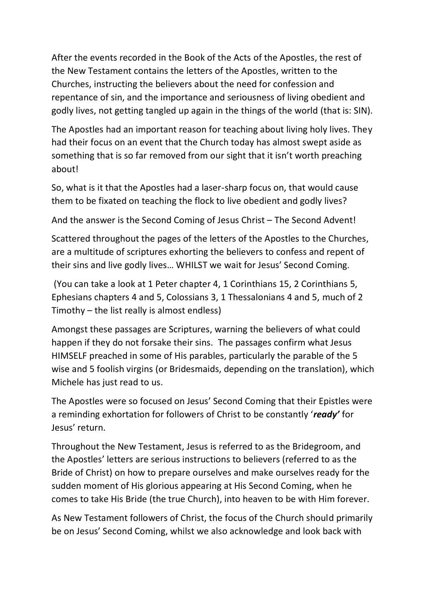After the events recorded in the Book of the Acts of the Apostles, the rest of the New Testament contains the letters of the Apostles, written to the Churches, instructing the believers about the need for confession and repentance of sin, and the importance and seriousness of living obedient and godly lives, not getting tangled up again in the things of the world (that is: SIN).

The Apostles had an important reason for teaching about living holy lives. They had their focus on an event that the Church today has almost swept aside as something that is so far removed from our sight that it isn't worth preaching about!

So, what is it that the Apostles had a laser-sharp focus on, that would cause them to be fixated on teaching the flock to live obedient and godly lives?

And the answer is the Second Coming of Jesus Christ – The Second Advent!

Scattered throughout the pages of the letters of the Apostles to the Churches, are a multitude of scriptures exhorting the believers to confess and repent of their sins and live godly lives… WHILST we wait for Jesus' Second Coming.

(You can take a look at 1 Peter chapter 4, 1 Corinthians 15, 2 Corinthians 5, Ephesians chapters 4 and 5, Colossians 3, 1 Thessalonians 4 and 5, much of 2 Timothy – the list really is almost endless)

Amongst these passages are Scriptures, warning the believers of what could happen if they do not forsake their sins. The passages confirm what Jesus HIMSELF preached in some of His parables, particularly the parable of the 5 wise and 5 foolish virgins (or Bridesmaids, depending on the translation), which Michele has just read to us.

The Apostles were so focused on Jesus' Second Coming that their Epistles were a reminding exhortation for followers of Christ to be constantly '*ready'* for Jesus' return.

Throughout the New Testament, Jesus is referred to as the Bridegroom, and the Apostles' letters are serious instructions to believers (referred to as the Bride of Christ) on how to prepare ourselves and make ourselves ready for the sudden moment of His glorious appearing at His Second Coming, when he comes to take His Bride (the true Church), into heaven to be with Him forever.

As New Testament followers of Christ, the focus of the Church should primarily be on Jesus' Second Coming, whilst we also acknowledge and look back with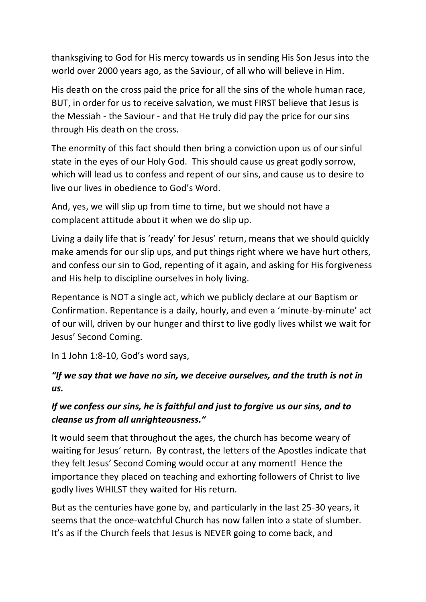thanksgiving to God for His mercy towards us in sending His Son Jesus into the world over 2000 years ago, as the Saviour, of all who will believe in Him.

His death on the cross paid the price for all the sins of the whole human race, BUT, in order for us to receive salvation, we must FIRST believe that Jesus is the Messiah - the Saviour - and that He truly did pay the price for our sins through His death on the cross.

The enormity of this fact should then bring a conviction upon us of our sinful state in the eyes of our Holy God. This should cause us great godly sorrow, which will lead us to confess and repent of our sins, and cause us to desire to live our lives in obedience to God's Word.

And, yes, we will slip up from time to time, but we should not have a complacent attitude about it when we do slip up.

Living a daily life that is 'ready' for Jesus' return, means that we should quickly make amends for our slip ups, and put things right where we have hurt others, and confess our sin to God, repenting of it again, and asking for His forgiveness and His help to discipline ourselves in holy living.

Repentance is NOT a single act, which we publicly declare at our Baptism or Confirmation. Repentance is a daily, hourly, and even a 'minute-by-minute' act of our will, driven by our hunger and thirst to live godly lives whilst we wait for Jesus' Second Coming.

In 1 John 1:8-10, God's word says,

# *"If we say that we have no sin, we deceive ourselves, and the truth is not in us.*

## *If we confess our sins, he is faithful and just to forgive us our sins, and to cleanse us from all unrighteousness."*

It would seem that throughout the ages, the church has become weary of waiting for Jesus' return. By contrast, the letters of the Apostles indicate that they felt Jesus' Second Coming would occur at any moment! Hence the importance they placed on teaching and exhorting followers of Christ to live godly lives WHILST they waited for His return.

But as the centuries have gone by, and particularly in the last 25-30 years, it seems that the once-watchful Church has now fallen into a state of slumber. It's as if the Church feels that Jesus is NEVER going to come back, and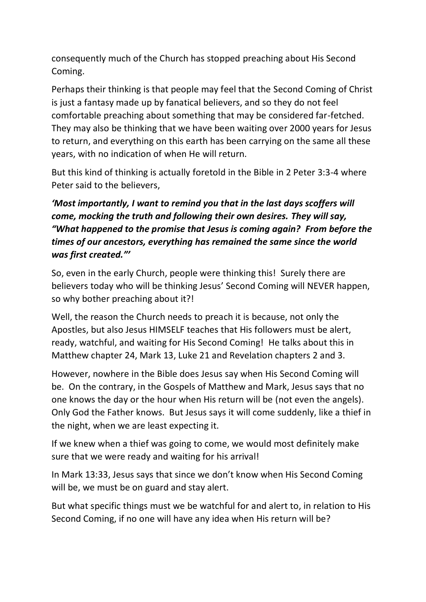consequently much of the Church has stopped preaching about His Second Coming.

Perhaps their thinking is that people may feel that the Second Coming of Christ is just a fantasy made up by fanatical believers, and so they do not feel comfortable preaching about something that may be considered far-fetched. They may also be thinking that we have been waiting over 2000 years for Jesus to return, and everything on this earth has been carrying on the same all these years, with no indication of when He will return.

But this kind of thinking is actually foretold in the Bible in 2 Peter 3:3-4 where Peter said to the believers,

# *'Most importantly, I want to remind you that in the last days scoffers will come, mocking the truth and following their own desires. They will say, "What happened to the promise that Jesus is coming again? From before the times of our ancestors, everything has remained the same since the world was first created."'*

So, even in the early Church, people were thinking this! Surely there are believers today who will be thinking Jesus' Second Coming will NEVER happen, so why bother preaching about it?!

Well, the reason the Church needs to preach it is because, not only the Apostles, but also Jesus HIMSELF teaches that His followers must be alert, ready, watchful, and waiting for His Second Coming! He talks about this in Matthew chapter 24, Mark 13, Luke 21 and Revelation chapters 2 and 3.

However, nowhere in the Bible does Jesus say when His Second Coming will be. On the contrary, in the Gospels of Matthew and Mark, Jesus says that no one knows the day or the hour when His return will be (not even the angels). Only God the Father knows. But Jesus says it will come suddenly, like a thief in the night, when we are least expecting it.

If we knew when a thief was going to come, we would most definitely make sure that we were ready and waiting for his arrival!

In Mark 13:33, Jesus says that since we don't know when His Second Coming will be, we must be on guard and stay alert.

But what specific things must we be watchful for and alert to, in relation to His Second Coming, if no one will have any idea when His return will be?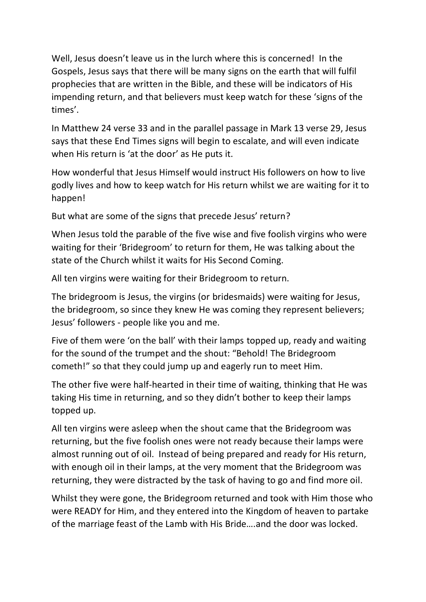Well, Jesus doesn't leave us in the lurch where this is concerned! In the Gospels, Jesus says that there will be many signs on the earth that will fulfil prophecies that are written in the Bible, and these will be indicators of His impending return, and that believers must keep watch for these 'signs of the times'.

In Matthew 24 verse 33 and in the parallel passage in Mark 13 verse 29, Jesus says that these End Times signs will begin to escalate, and will even indicate when His return is 'at the door' as He puts it.

How wonderful that Jesus Himself would instruct His followers on how to live godly lives and how to keep watch for His return whilst we are waiting for it to happen!

But what are some of the signs that precede Jesus' return?

When Jesus told the parable of the five wise and five foolish virgins who were waiting for their 'Bridegroom' to return for them, He was talking about the state of the Church whilst it waits for His Second Coming.

All ten virgins were waiting for their Bridegroom to return.

The bridegroom is Jesus, the virgins (or bridesmaids) were waiting for Jesus, the bridegroom, so since they knew He was coming they represent believers; Jesus' followers - people like you and me.

Five of them were 'on the ball' with their lamps topped up, ready and waiting for the sound of the trumpet and the shout: "Behold! The Bridegroom cometh!" so that they could jump up and eagerly run to meet Him.

The other five were half-hearted in their time of waiting, thinking that He was taking His time in returning, and so they didn't bother to keep their lamps topped up.

All ten virgins were asleep when the shout came that the Bridegroom was returning, but the five foolish ones were not ready because their lamps were almost running out of oil. Instead of being prepared and ready for His return, with enough oil in their lamps, at the very moment that the Bridegroom was returning, they were distracted by the task of having to go and find more oil.

Whilst they were gone, the Bridegroom returned and took with Him those who were READY for Him, and they entered into the Kingdom of heaven to partake of the marriage feast of the Lamb with His Bride….and the door was locked.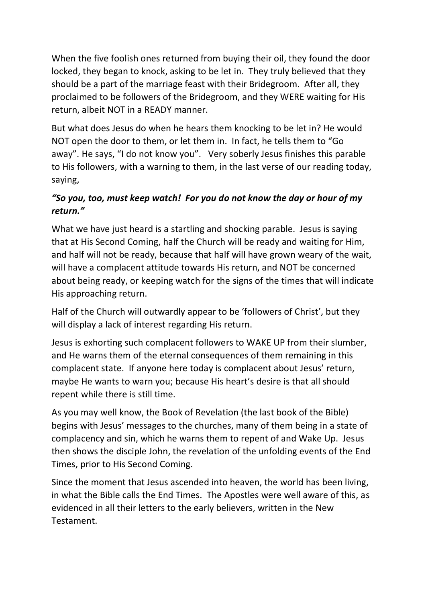When the five foolish ones returned from buying their oil, they found the door locked, they began to knock, asking to be let in. They truly believed that they should be a part of the marriage feast with their Bridegroom. After all, they proclaimed to be followers of the Bridegroom, and they WERE waiting for His return, albeit NOT in a READY manner.

But what does Jesus do when he hears them knocking to be let in? He would NOT open the door to them, or let them in. In fact, he tells them to "Go away". He says, "I do not know you". Very soberly Jesus finishes this parable to His followers, with a warning to them, in the last verse of our reading today, saying,

## *"So you, too, must keep watch! For you do not know the day or hour of my return."*

What we have just heard is a startling and shocking parable. Jesus is saying that at His Second Coming, half the Church will be ready and waiting for Him, and half will not be ready, because that half will have grown weary of the wait, will have a complacent attitude towards His return, and NOT be concerned about being ready, or keeping watch for the signs of the times that will indicate His approaching return.

Half of the Church will outwardly appear to be 'followers of Christ', but they will display a lack of interest regarding His return.

Jesus is exhorting such complacent followers to WAKE UP from their slumber, and He warns them of the eternal consequences of them remaining in this complacent state. If anyone here today is complacent about Jesus' return, maybe He wants to warn you; because His heart's desire is that all should repent while there is still time.

As you may well know, the Book of Revelation (the last book of the Bible) begins with Jesus' messages to the churches, many of them being in a state of complacency and sin, which he warns them to repent of and Wake Up. Jesus then shows the disciple John, the revelation of the unfolding events of the End Times, prior to His Second Coming.

Since the moment that Jesus ascended into heaven, the world has been living, in what the Bible calls the End Times. The Apostles were well aware of this, as evidenced in all their letters to the early believers, written in the New Testament.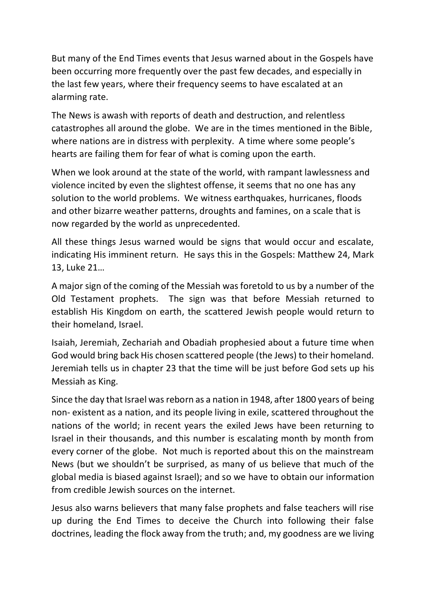But many of the End Times events that Jesus warned about in the Gospels have been occurring more frequently over the past few decades, and especially in the last few years, where their frequency seems to have escalated at an alarming rate.

The News is awash with reports of death and destruction, and relentless catastrophes all around the globe. We are in the times mentioned in the Bible, where nations are in distress with perplexity. A time where some people's hearts are failing them for fear of what is coming upon the earth.

When we look around at the state of the world, with rampant lawlessness and violence incited by even the slightest offense, it seems that no one has any solution to the world problems. We witness earthquakes, hurricanes, floods and other bizarre weather patterns, droughts and famines, on a scale that is now regarded by the world as unprecedented.

All these things Jesus warned would be signs that would occur and escalate, indicating His imminent return. He says this in the Gospels: Matthew 24, Mark 13, Luke 21…

A major sign of the coming of the Messiah was foretold to us by a number of the Old Testament prophets. The sign was that before Messiah returned to establish His Kingdom on earth, the scattered Jewish people would return to their homeland, Israel.

Isaiah, Jeremiah, Zechariah and Obadiah prophesied about a future time when God would bring back His chosen scattered people (the Jews) to their homeland. Jeremiah tells us in chapter 23 that the time will be just before God sets up his Messiah as King.

Since the day that Israel was reborn as a nation in 1948, after 1800 years of being non- existent as a nation, and its people living in exile, scattered throughout the nations of the world; in recent years the exiled Jews have been returning to Israel in their thousands, and this number is escalating month by month from every corner of the globe. Not much is reported about this on the mainstream News (but we shouldn't be surprised, as many of us believe that much of the global media is biased against Israel); and so we have to obtain our information from credible Jewish sources on the internet.

Jesus also warns believers that many false prophets and false teachers will rise up during the End Times to deceive the Church into following their false doctrines, leading the flock away from the truth; and, my goodness are we living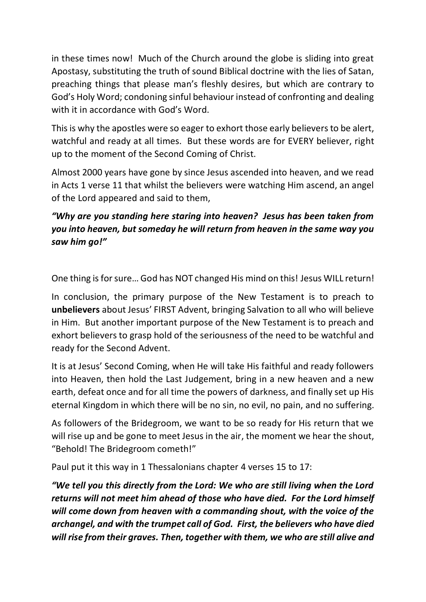in these times now! Much of the Church around the globe is sliding into great Apostasy, substituting the truth of sound Biblical doctrine with the lies of Satan, preaching things that please man's fleshly desires, but which are contrary to God's Holy Word; condoning sinful behaviour instead of confronting and dealing with it in accordance with God's Word.

This is why the apostles were so eager to exhort those early believers to be alert, watchful and ready at all times. But these words are for EVERY believer, right up to the moment of the Second Coming of Christ.

Almost 2000 years have gone by since Jesus ascended into heaven, and we read in Acts 1 verse 11 that whilst the believers were watching Him ascend, an angel of the Lord appeared and said to them,

# *"Why are you standing here staring into heaven? Jesus has been taken from you into heaven, but someday he will return from heaven in the same way you saw him go!"*

One thing is for sure… God has NOT changed His mind on this! Jesus WILL return!

In conclusion, the primary purpose of the New Testament is to preach to **unbelievers** about Jesus' FIRST Advent, bringing Salvation to all who will believe in Him. But another important purpose of the New Testament is to preach and exhort believers to grasp hold of the seriousness of the need to be watchful and ready for the Second Advent.

It is at Jesus' Second Coming, when He will take His faithful and ready followers into Heaven, then hold the Last Judgement, bring in a new heaven and a new earth, defeat once and for all time the powers of darkness, and finally set up His eternal Kingdom in which there will be no sin, no evil, no pain, and no suffering.

As followers of the Bridegroom, we want to be so ready for His return that we will rise up and be gone to meet Jesus in the air, the moment we hear the shout, "Behold! The Bridegroom cometh!"

Paul put it this way in 1 Thessalonians chapter 4 verses 15 to 17:

*"We tell you this directly from the Lord: We who are still living when the Lord returns will not meet him ahead of those who have died. For the Lord himself will come down from heaven with a commanding shout, with the voice of the archangel, and with the trumpet call of God. First, the believers who have died will rise from their graves. Then, together with them, we who are still alive and*